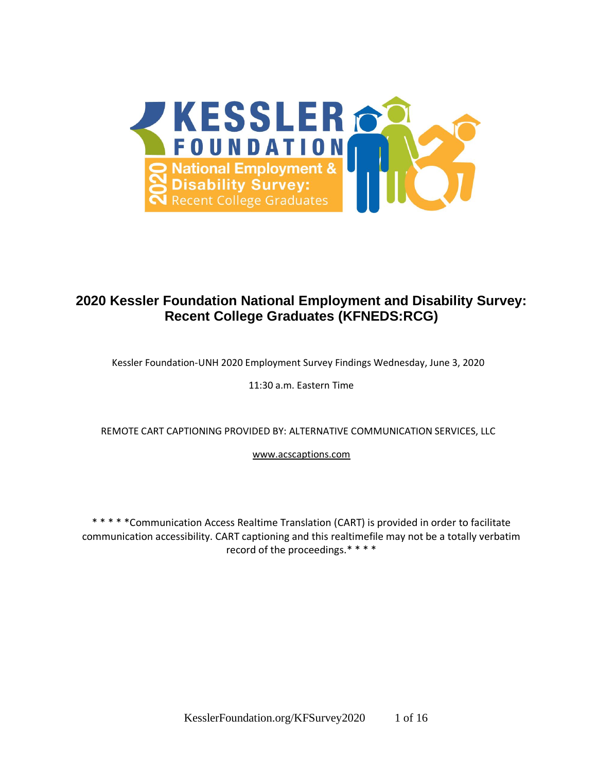

## **2020 Kessler Foundation National Employment and Disability Survey: Recent College Graduates (KFNEDS:RCG)**

Kessler Foundation-UNH 2020 Employment Survey Findings Wednesday, June 3, 2020

11:30 a.m. Eastern Time

REMOTE CART CAPTIONING PROVIDED BY: ALTERNATIVE COMMUNICATION SERVICES, LLC

www.acscaptions.com

\* \* \* \* \*Communication Access Realtime Translation (CART) is provided in order to facilitate communication accessibility. CART captioning and this realtimefile may not be a totally verbatim record of the proceedings.\*\*\*\*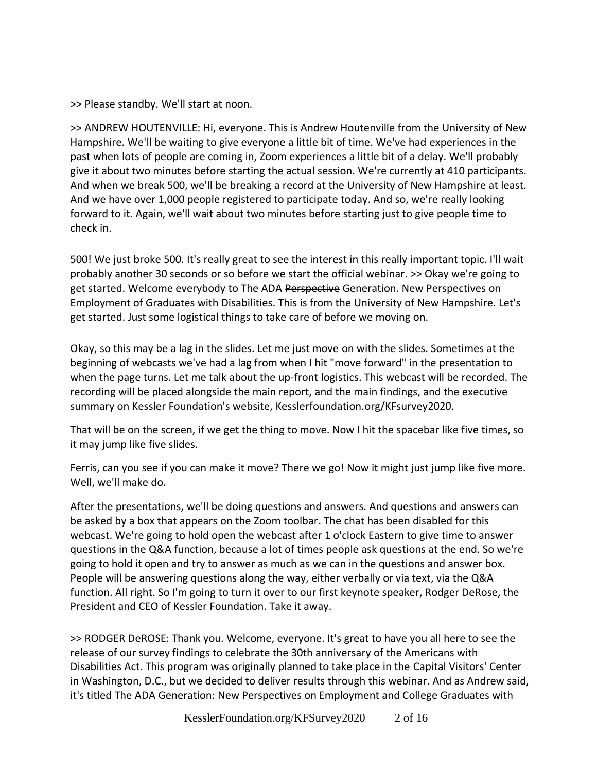>> Please standby. We'll start at noon.

>> ANDREW HOUTENVILLE: Hi, everyone. This is Andrew Houtenville from the University of New Hampshire. We'll be waiting to give everyone a little bit of time. We've had experiences in the past when lots of people are coming in, Zoom experiences a little bit of a delay. We'll probably give it about two minutes before starting the actual session. We're currently at 410 participants. And when we break 500, we'll be breaking a record at the University of New Hampshire at least. And we have over 1,000 people registered to participate today. And so, we're really looking forward to it. Again, we'll wait about two minutes before starting just to give people time to check in.

500! We just broke 500. It's really great to see the interest in this really important topic. I'll wait probably another 30 seconds or so before we start the official webinar. >> Okay we're going to get started. Welcome everybody to The ADA Perspective Generation. New Perspectives on Employment of Graduates with Disabilities. This is from the University of New Hampshire. Let's get started. Just some logistical things to take care of before we moving on.

Okay, so this may be a lag in the slides. Let me just move on with the slides. Sometimes at the beginning of webcasts we've had a lag from when I hit "move forward" in the presentation to when the page turns. Let me talk about the up-front logistics. This webcast will be recorded. The recording will be placed alongside the main report, and the main findings, and the executive summary on Kessler Foundation's website, Kesslerfoundation.org/KFsurvey2020.

That will be on the screen, if we get the thing to move. Now I hit the spacebar like five times, so it may jump like five slides.

Ferris, can you see if you can make it move? There we go! Now it might just jump like five more. Well, we'll make do.

After the presentations, we'll be doing questions and answers. And questions and answers can be asked by a box that appears on the Zoom toolbar. The chat has been disabled for this webcast. We're going to hold open the webcast after 1 o'clock Eastern to give time to answer questions in the Q&A function, because a lot of times people ask questions at the end. So we're going to hold it open and try to answer as much as we can in the questions and answer box. People will be answering questions along the way, either verbally or via text, via the Q&A function. All right. So I'm going to turn it over to our first keynote speaker, Rodger DeRose, the President and CEO of Kessler Foundation. Take it away.

>> RODGER DeROSE: Thank you. Welcome, everyone. It's great to have you all here to see the release of our survey findings to celebrate the 30th anniversary of the Americans with Disabilities Act. This program was originally planned to take place in the Capital Visitors' Center in Washington, D.C., but we decided to deliver results through this webinar. And as Andrew said, it's titled The ADA Generation: New Perspectives on Employment and College Graduates with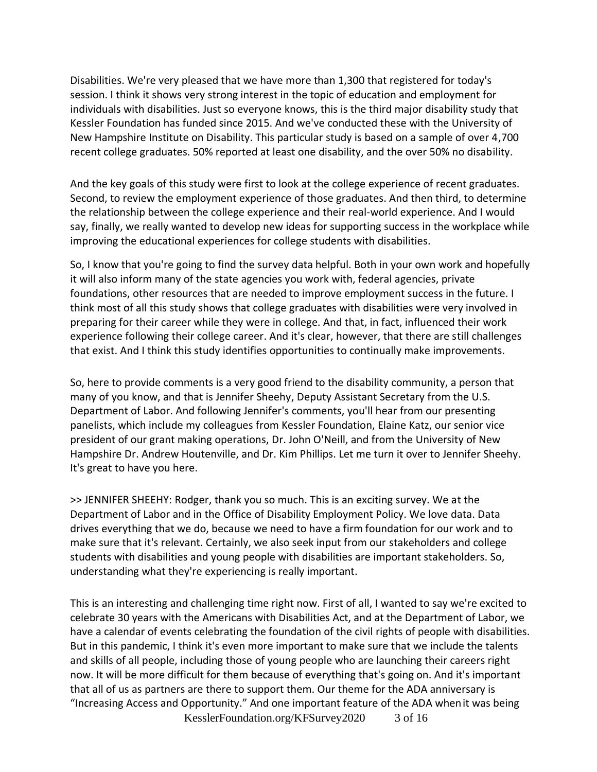Disabilities. We're very pleased that we have more than 1,300 that registered for today's session. I think it shows very strong interest in the topic of education and employment for individuals with disabilities. Just so everyone knows, this is the third major disability study that Kessler Foundation has funded since 2015. And we've conducted these with the University of New Hampshire Institute on Disability. This particular study is based on a sample of over 4,700 recent college graduates. 50% reported at least one disability, and the over 50% no disability.

And the key goals of this study were first to look at the college experience of recent graduates. Second, to review the employment experience of those graduates. And then third, to determine the relationship between the college experience and their real-world experience. And I would say, finally, we really wanted to develop new ideas for supporting success in the workplace while improving the educational experiences for college students with disabilities.

So, I know that you're going to find the survey data helpful. Both in your own work and hopefully it will also inform many of the state agencies you work with, federal agencies, private foundations, other resources that are needed to improve employment success in the future. I think most of all this study shows that college graduates with disabilities were very involved in preparing for their career while they were in college. And that, in fact, influenced their work experience following their college career. And it's clear, however, that there are still challenges that exist. And I think this study identifies opportunities to continually make improvements.

So, here to provide comments is a very good friend to the disability community, a person that many of you know, and that is Jennifer Sheehy, Deputy Assistant Secretary from the U.S. Department of Labor. And following Jennifer's comments, you'll hear from our presenting panelists, which include my colleagues from Kessler Foundation, Elaine Katz, our senior vice president of our grant making operations, Dr. John O'Neill, and from the University of New Hampshire Dr. Andrew Houtenville, and Dr. Kim Phillips. Let me turn it over to Jennifer Sheehy. It's great to have you here.

>> JENNIFER SHEEHY: Rodger, thank you so much. This is an exciting survey. We at the Department of Labor and in the Office of Disability Employment Policy. We love data. Data drives everything that we do, because we need to have a firm foundation for our work and to make sure that it's relevant. Certainly, we also seek input from our stakeholders and college students with disabilities and young people with disabilities are important stakeholders. So, understanding what they're experiencing is really important.

KesslerFoundation.org/KFSurvey2020 3 of 16 This is an interesting and challenging time right now. First of all, I wanted to say we're excited to celebrate 30 years with the Americans with Disabilities Act, and at the Department of Labor, we have a calendar of events celebrating the foundation of the civil rights of people with disabilities. But in this pandemic, I think it's even more important to make sure that we include the talents and skills of all people, including those of young people who are launching their careers right now. It will be more difficult for them because of everything that's going on. And it's important that all of us as partners are there to support them. Our theme for the ADA anniversary is "Increasing Access and Opportunity." And one important feature of the ADA whenit was being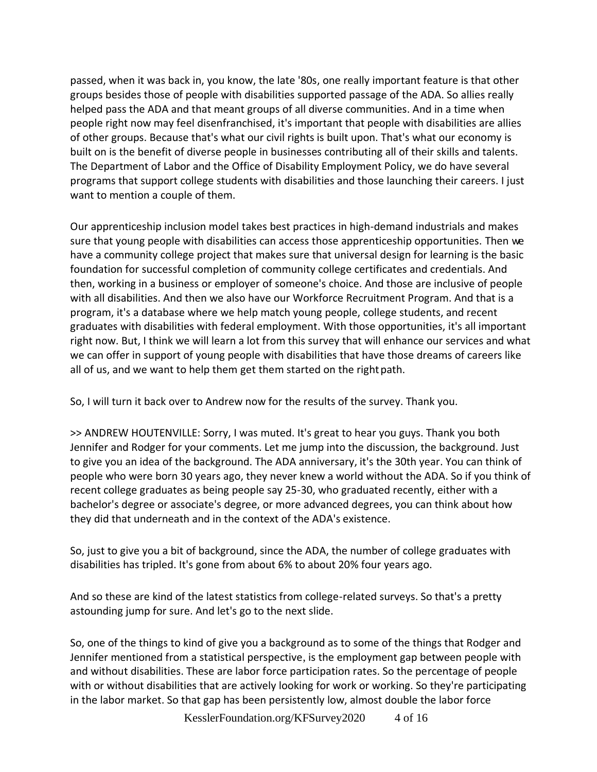passed, when it was back in, you know, the late '80s, one really important feature is that other groups besides those of people with disabilities supported passage of the ADA. So allies really helped pass the ADA and that meant groups of all diverse communities. And in a time when people right now may feel disenfranchised, it's important that people with disabilities are allies of other groups. Because that's what our civil rights is built upon. That's what our economy is built on is the benefit of diverse people in businesses contributing all of their skills and talents. The Department of Labor and the Office of Disability Employment Policy, we do have several programs that support college students with disabilities and those launching their careers. I just want to mention a couple of them.

Our apprenticeship inclusion model takes best practices in high-demand industrials and makes sure that young people with disabilities can access those apprenticeship opportunities. Then we have a community college project that makes sure that universal design for learning is the basic foundation for successful completion of community college certificates and credentials. And then, working in a business or employer of someone's choice. And those are inclusive of people with all disabilities. And then we also have our Workforce Recruitment Program. And that is a program, it's a database where we help match young people, college students, and recent graduates with disabilities with federal employment. With those opportunities, it's all important right now. But, I think we will learn a lot from this survey that will enhance our services and what we can offer in support of young people with disabilities that have those dreams of careers like all of us, and we want to help them get them started on the right path.

So, I will turn it back over to Andrew now for the results of the survey. Thank you.

>> ANDREW HOUTENVILLE: Sorry, I was muted. It's great to hear you guys. Thank you both Jennifer and Rodger for your comments. Let me jump into the discussion, the background. Just to give you an idea of the background. The ADA anniversary, it's the 30th year. You can think of people who were born 30 years ago, they never knew a world without the ADA. So if you think of recent college graduates as being people say 25-30, who graduated recently, either with a bachelor's degree or associate's degree, or more advanced degrees, you can think about how they did that underneath and in the context of the ADA's existence.

So, just to give you a bit of background, since the ADA, the number of college graduates with disabilities has tripled. It's gone from about 6% to about 20% four years ago.

And so these are kind of the latest statistics from college-related surveys. So that's a pretty astounding jump for sure. And let's go to the next slide.

So, one of the things to kind of give you a background as to some of the things that Rodger and Jennifer mentioned from a statistical perspective, is the employment gap between people with and without disabilities. These are labor force participation rates. So the percentage of people with or without disabilities that are actively looking for work or working. So they're participating in the labor market. So that gap has been persistently low, almost double the labor force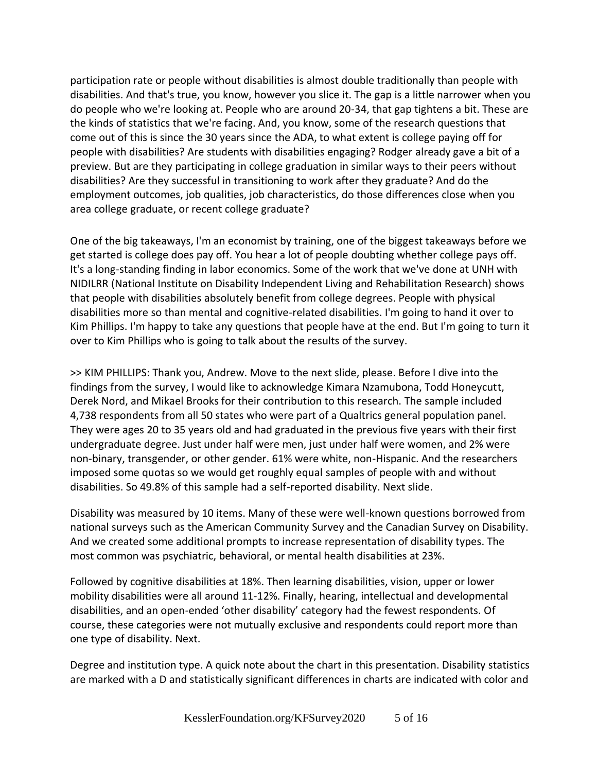participation rate or people without disabilities is almost double traditionally than people with disabilities. And that's true, you know, however you slice it. The gap is a little narrower when you do people who we're looking at. People who are around 20-34, that gap tightens a bit. These are the kinds of statistics that we're facing. And, you know, some of the research questions that come out of this is since the 30 years since the ADA, to what extent is college paying off for people with disabilities? Are students with disabilities engaging? Rodger already gave a bit of a preview. But are they participating in college graduation in similar ways to their peers without disabilities? Are they successful in transitioning to work after they graduate? And do the employment outcomes, job qualities, job characteristics, do those differences close when you area college graduate, or recent college graduate?

One of the big takeaways, I'm an economist by training, one of the biggest takeaways before we get started is college does pay off. You hear a lot of people doubting whether college pays off. It's a long-standing finding in labor economics. Some of the work that we've done at UNH with NIDILRR (National Institute on Disability Independent Living and Rehabilitation Research) shows that people with disabilities absolutely benefit from college degrees. People with physical disabilities more so than mental and cognitive-related disabilities. I'm going to hand it over to Kim Phillips. I'm happy to take any questions that people have at the end. But I'm going to turn it over to Kim Phillips who is going to talk about the results of the survey.

>> KIM PHILLIPS: Thank you, Andrew. Move to the next slide, please. Before I dive into the findings from the survey, I would like to acknowledge Kimara Nzamubona, Todd Honeycutt, Derek Nord, and Mikael Brooks for their contribution to this research. The sample included 4,738 respondents from all 50 states who were part of a Qualtrics general population panel. They were ages 20 to 35 years old and had graduated in the previous five years with their first undergraduate degree. Just under half were men, just under half were women, and 2% were non-binary, transgender, or other gender. 61% were white, non-Hispanic. And the researchers imposed some quotas so we would get roughly equal samples of people with and without disabilities. So 49.8% of this sample had a self-reported disability. Next slide.

Disability was measured by 10 items. Many of these were well-known questions borrowed from national surveys such as the American Community Survey and the Canadian Survey on Disability. And we created some additional prompts to increase representation of disability types. The most common was psychiatric, behavioral, or mental health disabilities at 23%.

Followed by cognitive disabilities at 18%. Then learning disabilities, vision, upper or lower mobility disabilities were all around 11-12%. Finally, hearing, intellectual and developmental disabilities, and an open-ended 'other disability' category had the fewest respondents. Of course, these categories were not mutually exclusive and respondents could report more than one type of disability. Next.

Degree and institution type. A quick note about the chart in this presentation. Disability statistics are marked with a D and statistically significant differences in charts are indicated with color and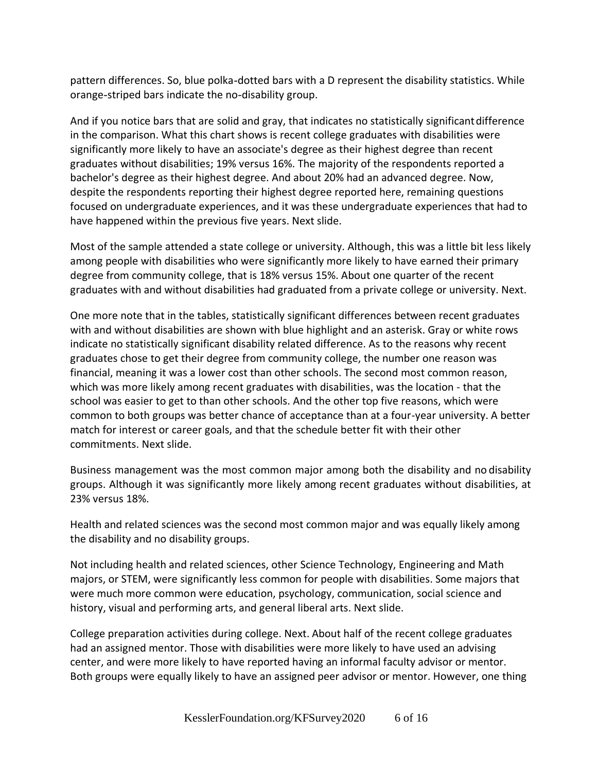pattern differences. So, blue polka-dotted bars with a D represent the disability statistics. While orange-striped bars indicate the no-disability group.

And if you notice bars that are solid and gray, that indicates no statistically significantdifference in the comparison. What this chart shows is recent college graduates with disabilities were significantly more likely to have an associate's degree as their highest degree than recent graduates without disabilities; 19% versus 16%. The majority of the respondents reported a bachelor's degree as their highest degree. And about 20% had an advanced degree. Now, despite the respondents reporting their highest degree reported here, remaining questions focused on undergraduate experiences, and it was these undergraduate experiences that had to have happened within the previous five years. Next slide.

Most of the sample attended a state college or university. Although, this was a little bit less likely among people with disabilities who were significantly more likely to have earned their primary degree from community college, that is 18% versus 15%. About one quarter of the recent graduates with and without disabilities had graduated from a private college or university. Next.

One more note that in the tables, statistically significant differences between recent graduates with and without disabilities are shown with blue highlight and an asterisk. Gray or white rows indicate no statistically significant disability related difference. As to the reasons why recent graduates chose to get their degree from community college, the number one reason was financial, meaning it was a lower cost than other schools. The second most common reason, which was more likely among recent graduates with disabilities, was the location - that the school was easier to get to than other schools. And the other top five reasons, which were common to both groups was better chance of acceptance than at a four-year university. A better match for interest or career goals, and that the schedule better fit with their other commitments. Next slide.

Business management was the most common major among both the disability and no disability groups. Although it was significantly more likely among recent graduates without disabilities, at 23% versus 18%.

Health and related sciences was the second most common major and was equally likely among the disability and no disability groups.

Not including health and related sciences, other Science Technology, Engineering and Math majors, or STEM, were significantly less common for people with disabilities. Some majors that were much more common were education, psychology, communication, social science and history, visual and performing arts, and general liberal arts. Next slide.

College preparation activities during college. Next. About half of the recent college graduates had an assigned mentor. Those with disabilities were more likely to have used an advising center, and were more likely to have reported having an informal faculty advisor or mentor. Both groups were equally likely to have an assigned peer advisor or mentor. However, one thing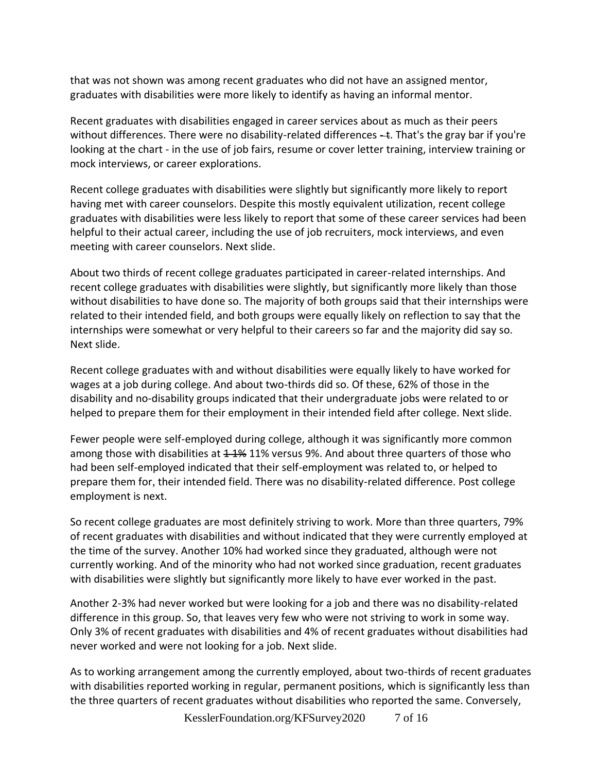that was not shown was among recent graduates who did not have an assigned mentor, graduates with disabilities were more likely to identify as having an informal mentor.

Recent graduates with disabilities engaged in career services about as much as their peers without differences. There were no disability-related differences - t. That's the gray bar if you're looking at the chart - in the use of job fairs, resume or cover letter training, interview training or mock interviews, or career explorations.

Recent college graduates with disabilities were slightly but significantly more likely to report having met with career counselors. Despite this mostly equivalent utilization, recent college graduates with disabilities were less likely to report that some of these career services had been helpful to their actual career, including the use of job recruiters, mock interviews, and even meeting with career counselors. Next slide.

About two thirds of recent college graduates participated in career-related internships. And recent college graduates with disabilities were slightly, but significantly more likely than those without disabilities to have done so. The majority of both groups said that their internships were related to their intended field, and both groups were equally likely on reflection to say that the internships were somewhat or very helpful to their careers so far and the majority did say so. Next slide.

Recent college graduates with and without disabilities were equally likely to have worked for wages at a job during college. And about two-thirds did so. Of these, 62% of those in the disability and no-disability groups indicated that their undergraduate jobs were related to or helped to prepare them for their employment in their intended field after college. Next slide.

Fewer people were self-employed during college, although it was significantly more common among those with disabilities at  $4.4\%$  11% versus 9%. And about three quarters of those who had been self-employed indicated that their self-employment was related to, or helped to prepare them for, their intended field. There was no disability-related difference. Post college employment is next.

So recent college graduates are most definitely striving to work. More than three quarters, 79% of recent graduates with disabilities and without indicated that they were currently employed at the time of the survey. Another 10% had worked since they graduated, although were not currently working. And of the minority who had not worked since graduation, recent graduates with disabilities were slightly but significantly more likely to have ever worked in the past.

Another 2-3% had never worked but were looking for a job and there was no disability-related difference in this group. So, that leaves very few who were not striving to work in some way. Only 3% of recent graduates with disabilities and 4% of recent graduates without disabilities had never worked and were not looking for a job. Next slide.

As to working arrangement among the currently employed, about two-thirds of recent graduates with disabilities reported working in regular, permanent positions, which is significantly less than the three quarters of recent graduates without disabilities who reported the same. Conversely,

KesslerFoundation.org/KFSurvey2020 7 of 16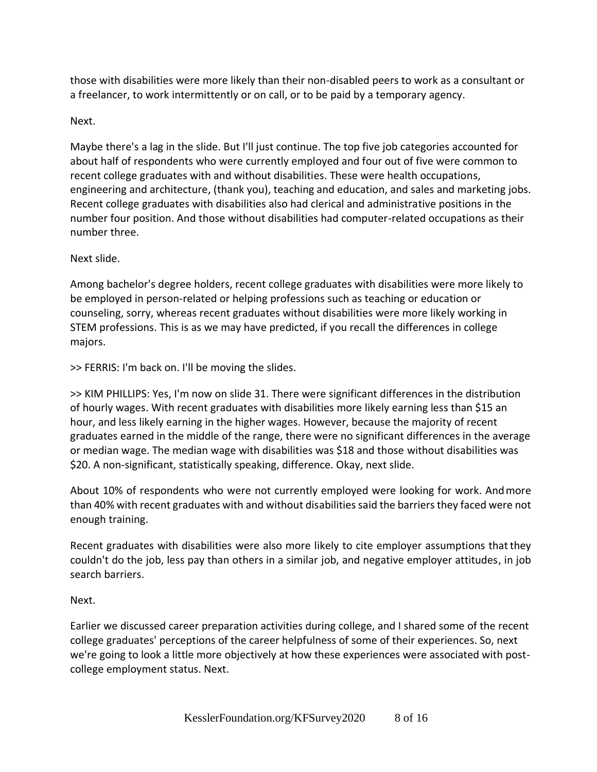those with disabilities were more likely than their non-disabled peers to work as a consultant or a freelancer, to work intermittently or on call, or to be paid by a temporary agency.

## Next.

Maybe there's a lag in the slide. But I'll just continue. The top five job categories accounted for about half of respondents who were currently employed and four out of five were common to recent college graduates with and without disabilities. These were health occupations, engineering and architecture, (thank you), teaching and education, and sales and marketing jobs. Recent college graduates with disabilities also had clerical and administrative positions in the number four position. And those without disabilities had computer-related occupations as their number three.

## Next slide.

Among bachelor's degree holders, recent college graduates with disabilities were more likely to be employed in person-related or helping professions such as teaching or education or counseling, sorry, whereas recent graduates without disabilities were more likely working in STEM professions. This is as we may have predicted, if you recall the differences in college majors.

>> FERRIS: I'm back on. I'll be moving the slides.

>> KIM PHILLIPS: Yes, I'm now on slide 31. There were significant differences in the distribution of hourly wages. With recent graduates with disabilities more likely earning less than \$15 an hour, and less likely earning in the higher wages. However, because the majority of recent graduates earned in the middle of the range, there were no significant differences in the average or median wage. The median wage with disabilities was \$18 and those without disabilities was \$20. A non-significant, statistically speaking, difference. Okay, next slide.

About 10% of respondents who were not currently employed were looking for work. Andmore than 40% with recent graduates with and without disabilities said the barriers they faced were not enough training.

Recent graduates with disabilities were also more likely to cite employer assumptions thatthey couldn't do the job, less pay than others in a similar job, and negative employer attitudes, in job search barriers.

Next.

Earlier we discussed career preparation activities during college, and I shared some of the recent college graduates' perceptions of the career helpfulness of some of their experiences. So, next we're going to look a little more objectively at how these experiences were associated with postcollege employment status. Next.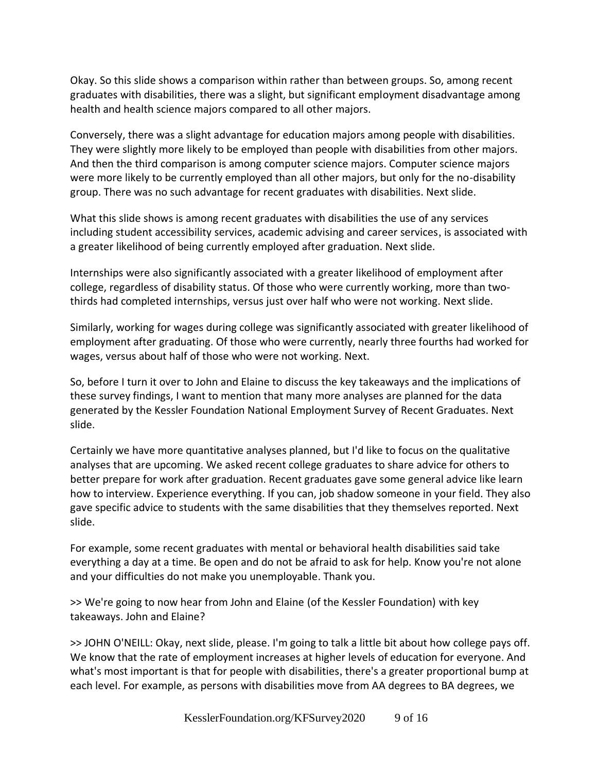Okay. So this slide shows a comparison within rather than between groups. So, among recent graduates with disabilities, there was a slight, but significant employment disadvantage among health and health science majors compared to all other majors.

Conversely, there was a slight advantage for education majors among people with disabilities. They were slightly more likely to be employed than people with disabilities from other majors. And then the third comparison is among computer science majors. Computer science majors were more likely to be currently employed than all other majors, but only for the no-disability group. There was no such advantage for recent graduates with disabilities. Next slide.

What this slide shows is among recent graduates with disabilities the use of any services including student accessibility services, academic advising and career services, is associated with a greater likelihood of being currently employed after graduation. Next slide.

Internships were also significantly associated with a greater likelihood of employment after college, regardless of disability status. Of those who were currently working, more than twothirds had completed internships, versus just over half who were not working. Next slide.

Similarly, working for wages during college was significantly associated with greater likelihood of employment after graduating. Of those who were currently, nearly three fourths had worked for wages, versus about half of those who were not working. Next.

So, before I turn it over to John and Elaine to discuss the key takeaways and the implications of these survey findings, I want to mention that many more analyses are planned for the data generated by the Kessler Foundation National Employment Survey of Recent Graduates. Next slide.

Certainly we have more quantitative analyses planned, but I'd like to focus on the qualitative analyses that are upcoming. We asked recent college graduates to share advice for others to better prepare for work after graduation. Recent graduates gave some general advice like learn how to interview. Experience everything. If you can, job shadow someone in your field. They also gave specific advice to students with the same disabilities that they themselves reported. Next slide.

For example, some recent graduates with mental or behavioral health disabilities said take everything a day at a time. Be open and do not be afraid to ask for help. Know you're not alone and your difficulties do not make you unemployable. Thank you.

>> We're going to now hear from John and Elaine (of the Kessler Foundation) with key takeaways. John and Elaine?

>> JOHN O'NEILL: Okay, next slide, please. I'm going to talk a little bit about how college pays off. We know that the rate of employment increases at higher levels of education for everyone. And what's most important is that for people with disabilities, there's a greater proportional bump at each level. For example, as persons with disabilities move from AA degrees to BA degrees, we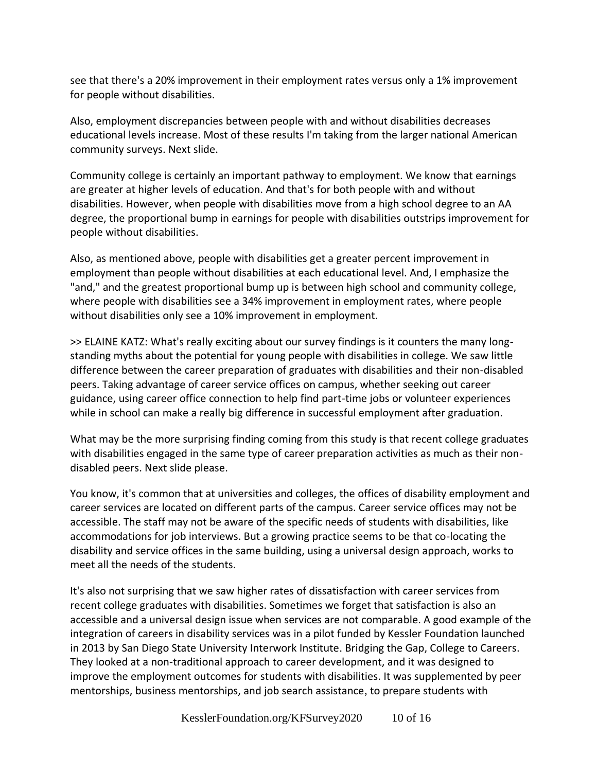see that there's a 20% improvement in their employment rates versus only a 1% improvement for people without disabilities.

Also, employment discrepancies between people with and without disabilities decreases educational levels increase. Most of these results I'm taking from the larger national American community surveys. Next slide.

Community college is certainly an important pathway to employment. We know that earnings are greater at higher levels of education. And that's for both people with and without disabilities. However, when people with disabilities move from a high school degree to an AA degree, the proportional bump in earnings for people with disabilities outstrips improvement for people without disabilities.

Also, as mentioned above, people with disabilities get a greater percent improvement in employment than people without disabilities at each educational level. And, I emphasize the "and," and the greatest proportional bump up is between high school and community college, where people with disabilities see a 34% improvement in employment rates, where people without disabilities only see a 10% improvement in employment.

>> ELAINE KATZ: What's really exciting about our survey findings is it counters the many longstanding myths about the potential for young people with disabilities in college. We saw little difference between the career preparation of graduates with disabilities and their non-disabled peers. Taking advantage of career service offices on campus, whether seeking out career guidance, using career office connection to help find part-time jobs or volunteer experiences while in school can make a really big difference in successful employment after graduation.

What may be the more surprising finding coming from this study is that recent college graduates with disabilities engaged in the same type of career preparation activities as much as their nondisabled peers. Next slide please.

You know, it's common that at universities and colleges, the offices of disability employment and career services are located on different parts of the campus. Career service offices may not be accessible. The staff may not be aware of the specific needs of students with disabilities, like accommodations for job interviews. But a growing practice seems to be that co-locating the disability and service offices in the same building, using a universal design approach, works to meet all the needs of the students.

It's also not surprising that we saw higher rates of dissatisfaction with career services from recent college graduates with disabilities. Sometimes we forget that satisfaction is also an accessible and a universal design issue when services are not comparable. A good example of the integration of careers in disability services was in a pilot funded by Kessler Foundation launched in 2013 by San Diego State University Interwork Institute. Bridging the Gap, College to Careers. They looked at a non-traditional approach to career development, and it was designed to improve the employment outcomes for students with disabilities. It was supplemented by peer mentorships, business mentorships, and job search assistance, to prepare students with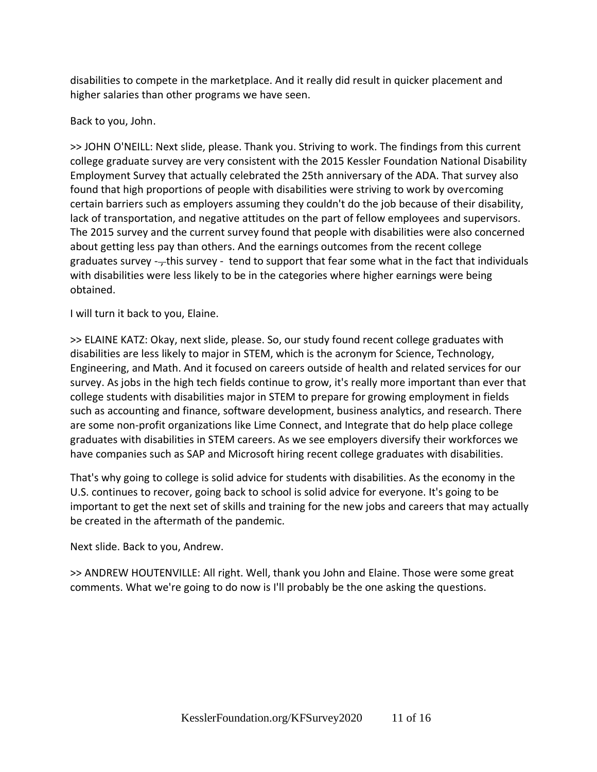disabilities to compete in the marketplace. And it really did result in quicker placement and higher salaries than other programs we have seen.

Back to you, John.

>> JOHN O'NEILL: Next slide, please. Thank you. Striving to work. The findings from this current college graduate survey are very consistent with the 2015 Kessler Foundation National Disability Employment Survey that actually celebrated the 25th anniversary of the ADA. That survey also found that high proportions of people with disabilities were striving to work by overcoming certain barriers such as employers assuming they couldn't do the job because of their disability, lack of transportation, and negative attitudes on the part of fellow employees and supervisors. The 2015 survey and the current survey found that people with disabilities were also concerned about getting less pay than others. And the earnings outcomes from the recent college graduates survey  $-\frac{1}{2}$ this survey - tend to support that fear some what in the fact that individuals with disabilities were less likely to be in the categories where higher earnings were being obtained.

I will turn it back to you, Elaine.

>> ELAINE KATZ: Okay, next slide, please. So, our study found recent college graduates with disabilities are less likely to major in STEM, which is the acronym for Science, Technology, Engineering, and Math. And it focused on careers outside of health and related services for our survey. As jobs in the high tech fields continue to grow, it's really more important than ever that college students with disabilities major in STEM to prepare for growing employment in fields such as accounting and finance, software development, business analytics, and research. There are some non-profit organizations like Lime Connect, and Integrate that do help place college graduates with disabilities in STEM careers. As we see employers diversify their workforces we have companies such as SAP and Microsoft hiring recent college graduates with disabilities.

That's why going to college is solid advice for students with disabilities. As the economy in the U.S. continues to recover, going back to school is solid advice for everyone. It's going to be important to get the next set of skills and training for the new jobs and careers that may actually be created in the aftermath of the pandemic.

Next slide. Back to you, Andrew.

>> ANDREW HOUTENVILLE: All right. Well, thank you John and Elaine. Those were some great comments. What we're going to do now is I'll probably be the one asking the questions.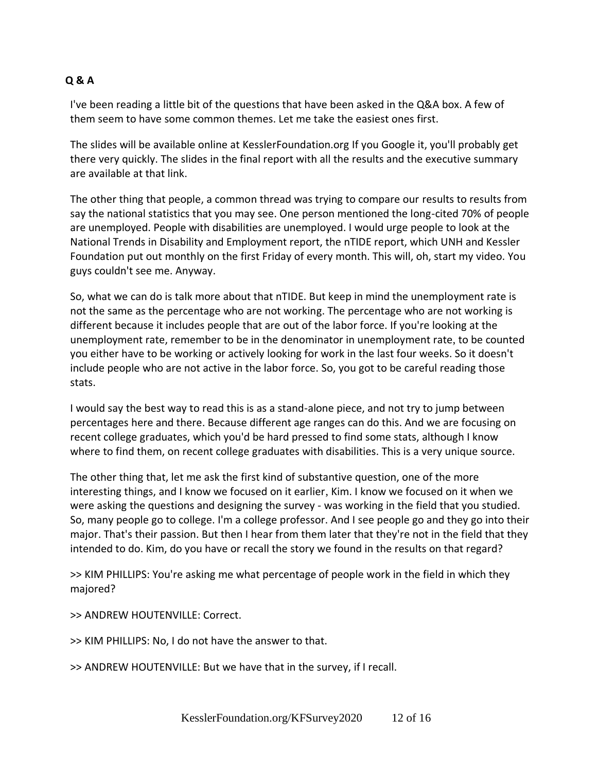## **Q & A**

I've been reading a little bit of the questions that have been asked in the Q&A box. A few of them seem to have some common themes. Let me take the easiest ones first.

The slides will be available online at KesslerFoundation.org If you Google it, you'll probably get there very quickly. The slides in the final report with all the results and the executive summary are available at that link.

The other thing that people, a common thread was trying to compare our results to results from say the national statistics that you may see. One person mentioned the long-cited 70% of people are unemployed. People with disabilities are unemployed. I would urge people to look at the National Trends in Disability and Employment report, the nTIDE report, which UNH and Kessler Foundation put out monthly on the first Friday of every month. This will, oh, start my video. You guys couldn't see me. Anyway.

So, what we can do is talk more about that nTIDE. But keep in mind the unemployment rate is not the same as the percentage who are not working. The percentage who are not working is different because it includes people that are out of the labor force. If you're looking at the unemployment rate, remember to be in the denominator in unemployment rate, to be counted you either have to be working or actively looking for work in the last four weeks. So it doesn't include people who are not active in the labor force. So, you got to be careful reading those stats.

I would say the best way to read this is as a stand-alone piece, and not try to jump between percentages here and there. Because different age ranges can do this. And we are focusing on recent college graduates, which you'd be hard pressed to find some stats, although I know where to find them, on recent college graduates with disabilities. This is a very unique source.

The other thing that, let me ask the first kind of substantive question, one of the more interesting things, and I know we focused on it earlier, Kim. I know we focused on it when we were asking the questions and designing the survey - was working in the field that you studied. So, many people go to college. I'm a college professor. And I see people go and they go into their major. That's their passion. But then I hear from them later that they're not in the field that they intended to do. Kim, do you have or recall the story we found in the results on that regard?

>> KIM PHILLIPS: You're asking me what percentage of people work in the field in which they majored?

>> ANDREW HOUTENVILLE: Correct.

>> KIM PHILLIPS: No, I do not have the answer to that.

>> ANDREW HOUTENVILLE: But we have that in the survey, if I recall.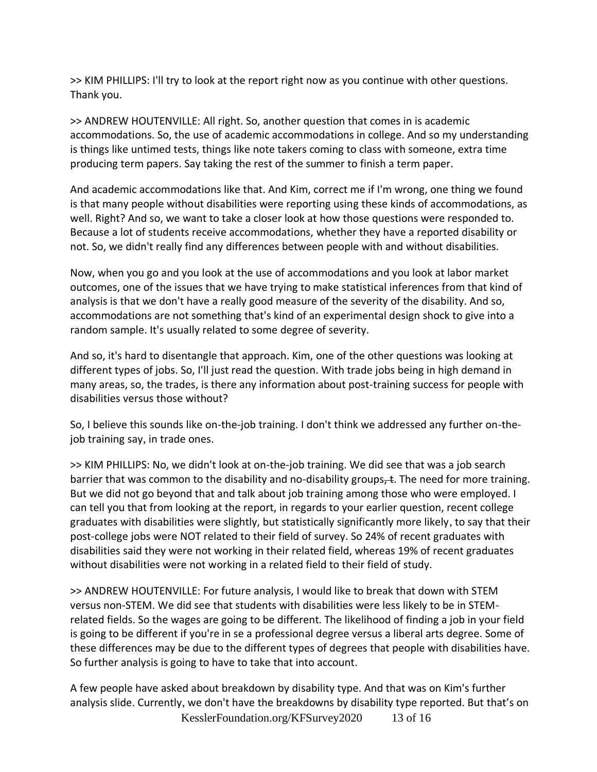>> KIM PHILLIPS: I'll try to look at the report right now as you continue with other questions. Thank you.

>> ANDREW HOUTENVILLE: All right. So, another question that comes in is academic accommodations. So, the use of academic accommodations in college. And so my understanding is things like untimed tests, things like note takers coming to class with someone, extra time producing term papers. Say taking the rest of the summer to finish a term paper.

And academic accommodations like that. And Kim, correct me if I'm wrong, one thing we found is that many people without disabilities were reporting using these kinds of accommodations, as well. Right? And so, we want to take a closer look at how those questions were responded to. Because a lot of students receive accommodations, whether they have a reported disability or not. So, we didn't really find any differences between people with and without disabilities.

Now, when you go and you look at the use of accommodations and you look at labor market outcomes, one of the issues that we have trying to make statistical inferences from that kind of analysis is that we don't have a really good measure of the severity of the disability. And so, accommodations are not something that's kind of an experimental design shock to give into a random sample. It's usually related to some degree of severity.

And so, it's hard to disentangle that approach. Kim, one of the other questions was looking at different types of jobs. So, I'll just read the question. With trade jobs being in high demand in many areas, so, the trades, is there any information about post-training success for people with disabilities versus those without?

So, I believe this sounds like on-the-job training. I don't think we addressed any further on-thejob training say, in trade ones.

>> KIM PHILLIPS: No, we didn't look at on-the-job training. We did see that was a job search barrier that was common to the disability and no-disability groups,  $\pm$ . The need for more training. But we did not go beyond that and talk about job training among those who were employed. I can tell you that from looking at the report, in regards to your earlier question, recent college graduates with disabilities were slightly, but statistically significantly more likely, to say that their post-college jobs were NOT related to their field of survey. So 24% of recent graduates with disabilities said they were not working in their related field, whereas 19% of recent graduates without disabilities were not working in a related field to their field of study.

>> ANDREW HOUTENVILLE: For future analysis, I would like to break that down with STEM versus non-STEM. We did see that students with disabilities were less likely to be in STEMrelated fields. So the wages are going to be different. The likelihood of finding a job in your field is going to be different if you're in se a professional degree versus a liberal arts degree. Some of these differences may be due to the different types of degrees that people with disabilities have. So further analysis is going to have to take that into account.

KesslerFoundation.org/KFSurvey2020 13 of 16 A few people have asked about breakdown by disability type. And that was on Kim's further analysis slide. Currently, we don't have the breakdowns by disability type reported. But that's on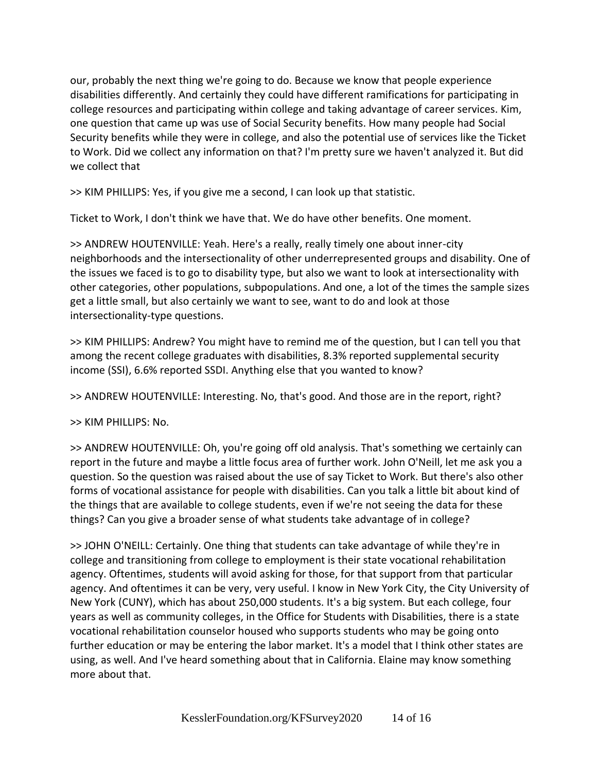our, probably the next thing we're going to do. Because we know that people experience disabilities differently. And certainly they could have different ramifications for participating in college resources and participating within college and taking advantage of career services. Kim, one question that came up was use of Social Security benefits. How many people had Social Security benefits while they were in college, and also the potential use of services like the Ticket to Work. Did we collect any information on that? I'm pretty sure we haven't analyzed it. But did we collect that

>> KIM PHILLIPS: Yes, if you give me a second, I can look up that statistic.

Ticket to Work, I don't think we have that. We do have other benefits. One moment.

>> ANDREW HOUTENVILLE: Yeah. Here's a really, really timely one about inner-city neighborhoods and the intersectionality of other underrepresented groups and disability. One of the issues we faced is to go to disability type, but also we want to look at intersectionality with other categories, other populations, subpopulations. And one, a lot of the times the sample sizes get a little small, but also certainly we want to see, want to do and look at those intersectionality-type questions.

>> KIM PHILLIPS: Andrew? You might have to remind me of the question, but I can tell you that among the recent college graduates with disabilities, 8.3% reported supplemental security income (SSI), 6.6% reported SSDI. Anything else that you wanted to know?

>> ANDREW HOUTENVILLE: Interesting. No, that's good. And those are in the report, right?

>> KIM PHILLIPS: No.

>> ANDREW HOUTENVILLE: Oh, you're going off old analysis. That's something we certainly can report in the future and maybe a little focus area of further work. John O'Neill, let me ask you a question. So the question was raised about the use of say Ticket to Work. But there's also other forms of vocational assistance for people with disabilities. Can you talk a little bit about kind of the things that are available to college students, even if we're not seeing the data for these things? Can you give a broader sense of what students take advantage of in college?

>> JOHN O'NEILL: Certainly. One thing that students can take advantage of while they're in college and transitioning from college to employment is their state vocational rehabilitation agency. Oftentimes, students will avoid asking for those, for that support from that particular agency. And oftentimes it can be very, very useful. I know in New York City, the City University of New York (CUNY), which has about 250,000 students. It's a big system. But each college, four years as well as community colleges, in the Office for Students with Disabilities, there is a state vocational rehabilitation counselor housed who supports students who may be going onto further education or may be entering the labor market. It's a model that I think other states are using, as well. And I've heard something about that in California. Elaine may know something more about that.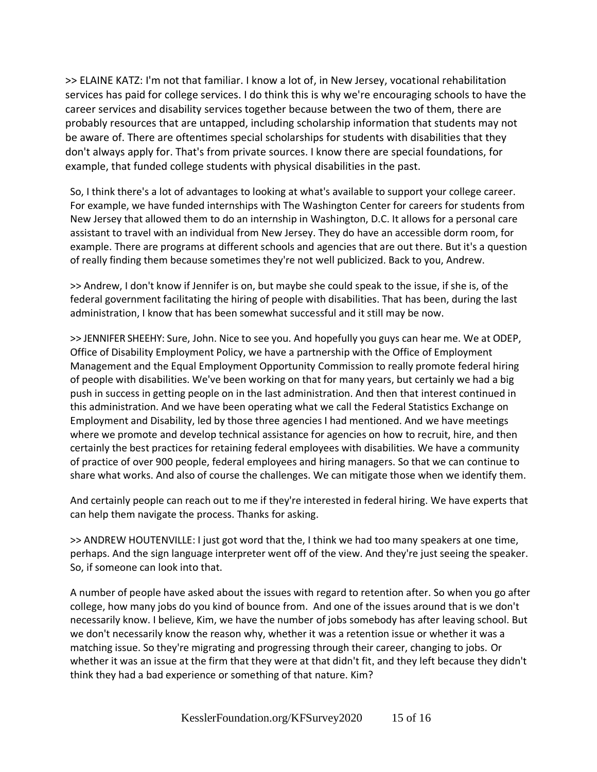>> ELAINE KATZ: I'm not that familiar. I know a lot of, in New Jersey, vocational rehabilitation services has paid for college services. I do think this is why we're encouraging schools to have the career services and disability services together because between the two of them, there are probably resources that are untapped, including scholarship information that students may not be aware of. There are oftentimes special scholarships for students with disabilities that they don't always apply for. That's from private sources. I know there are special foundations, for example, that funded college students with physical disabilities in the past.

So, I think there's a lot of advantages to looking at what's available to support your college career. For example, we have funded internships with The Washington Center for careers for students from New Jersey that allowed them to do an internship in Washington, D.C. It allows for a personal care assistant to travel with an individual from New Jersey. They do have an accessible dorm room, for example. There are programs at different schools and agencies that are out there. But it's a question of really finding them because sometimes they're not well publicized. Back to you, Andrew.

>> Andrew, I don't know if Jennifer is on, but maybe she could speak to the issue, if she is, of the federal government facilitating the hiring of people with disabilities. That has been, during the last administration, I know that has been somewhat successful and it still may be now.

>> JENNIFER SHEEHY: Sure, John. Nice to see you. And hopefully you guys can hear me. We at ODEP, Office of Disability Employment Policy, we have a partnership with the Office of Employment Management and the Equal Employment Opportunity Commission to really promote federal hiring of people with disabilities. We've been working on that for many years, but certainly we had a big push in success in getting people on in the last administration. And then that interest continued in this administration. And we have been operating what we call the Federal Statistics Exchange on Employment and Disability, led by those three agencies I had mentioned. And we have meetings where we promote and develop technical assistance for agencies on how to recruit, hire, and then certainly the best practices for retaining federal employees with disabilities. We have a community of practice of over 900 people, federal employees and hiring managers. So that we can continue to share what works. And also of course the challenges. We can mitigate those when we identify them.

And certainly people can reach out to me if they're interested in federal hiring. We have experts that can help them navigate the process. Thanks for asking.

>> ANDREW HOUTENVILLE: I just got word that the, I think we had too many speakers at one time, perhaps. And the sign language interpreter went off of the view. And they're just seeing the speaker. So, if someone can look into that.

A number of people have asked about the issues with regard to retention after. So when you go after college, how many jobs do you kind of bounce from. And one of the issues around that is we don't necessarily know. I believe, Kim, we have the number of jobs somebody has after leaving school. But we don't necessarily know the reason why, whether it was a retention issue or whether it was a matching issue. So they're migrating and progressing through their career, changing to jobs. Or whether it was an issue at the firm that they were at that didn't fit, and they left because they didn't think they had a bad experience or something of that nature. Kim?